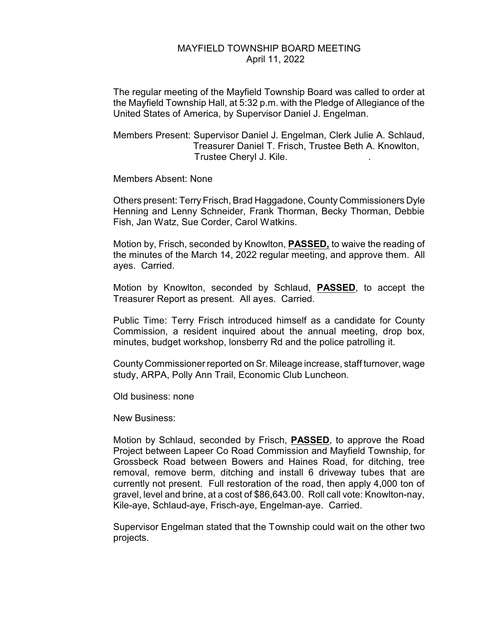## MAYFIELD TOWNSHIP BOARD MEETING April 11, 2022

The regular meeting of the Mayfield Township Board was called to order at the Mayfield Township Hall, at 5:32 p.m. with the Pledge of Allegiance of the United States of America, by Supervisor Daniel J. Engelman.

Members Present: Supervisor Daniel J. Engelman, Clerk Julie A. Schlaud, Treasurer Daniel T. Frisch, Trustee Beth A. Knowlton, Trustee Cheryl J. Kile. .

Members Absent: None

Others present: Terry Frisch, Brad Haggadone, County Commissioners Dyle Henning and Lenny Schneider, Frank Thorman, Becky Thorman, Debbie Fish, Jan Watz, Sue Corder, Carol Watkins.

Motion by, Frisch, seconded by Knowlton, **PASSED,** to waive the reading of the minutes of the March 14, 2022 regular meeting, and approve them. All ayes. Carried.

Motion by Knowlton, seconded by Schlaud, **PASSED**, to accept the Treasurer Report as present. All ayes. Carried.

Public Time: Terry Frisch introduced himself as a candidate for County Commission, a resident inquired about the annual meeting, drop box, minutes, budget workshop, lonsberry Rd and the police patrolling it.

County Commissioner reported on Sr. Mileage increase, staff turnover, wage study, ARPA, Polly Ann Trail, Economic Club Luncheon.

Old business: none

New Business:

Motion by Schlaud, seconded by Frisch, **PASSED**, to approve the Road Project between Lapeer Co Road Commission and Mayfield Township, for Grossbeck Road between Bowers and Haines Road, for ditching, tree removal, remove berm, ditching and install 6 driveway tubes that are currently not present. Full restoration of the road, then apply 4,000 ton of gravel, level and brine, at a cost of \$86,643.00. Roll call vote: Knowlton-nay, Kile-aye, Schlaud-aye, Frisch-aye, Engelman-aye. Carried.

Supervisor Engelman stated that the Township could wait on the other two projects.